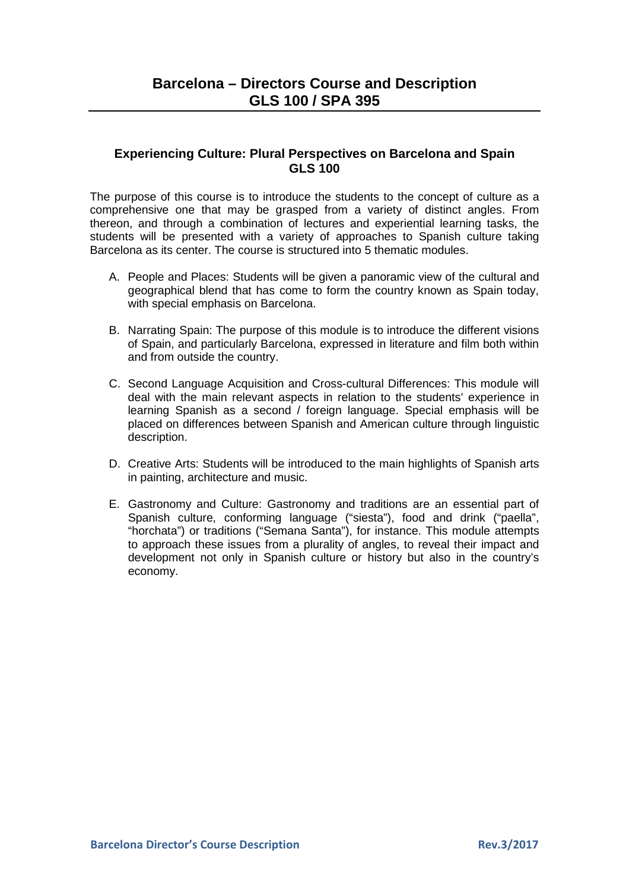## **Experiencing Culture: Plural Perspectives on Barcelona and Spain GLS 100**

The purpose of this course is to introduce the students to the concept of culture as a comprehensive one that may be grasped from a variety of distinct angles. From thereon, and through a combination of lectures and experiential learning tasks, the students will be presented with a variety of approaches to Spanish culture taking Barcelona as its center. The course is structured into 5 thematic modules.

- A. People and Places: Students will be given a panoramic view of the cultural and geographical blend that has come to form the country known as Spain today, with special emphasis on Barcelona.
- B. Narrating Spain: The purpose of this module is to introduce the different visions of Spain, and particularly Barcelona, expressed in literature and film both within and from outside the country.
- C. Second Language Acquisition and Cross-cultural Differences: This module will deal with the main relevant aspects in relation to the students' experience in learning Spanish as a second / foreign language. Special emphasis will be placed on differences between Spanish and American culture through linguistic description.
- D. Creative Arts: Students will be introduced to the main highlights of Spanish arts in painting, architecture and music.
- E. Gastronomy and Culture: Gastronomy and traditions are an essential part of Spanish culture, conforming language ("siesta"), food and drink ("paella", "horchata") or traditions ("Semana Santa"), for instance. This module attempts to approach these issues from a plurality of angles, to reveal their impact and development not only in Spanish culture or history but also in the country's economy.